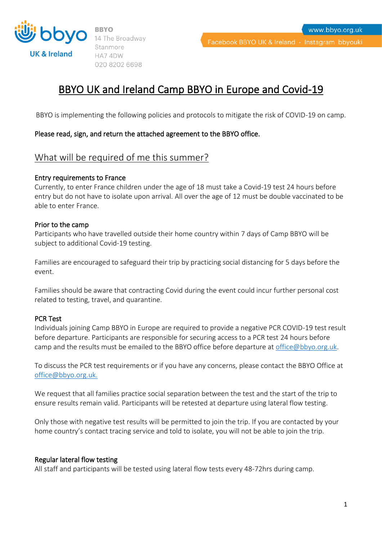

14 The Broadway Stanmore HA74DW 020 8202 6698

www.bbyo.org.uk

# BBYO UK and Ireland Camp BBYO in Europe and Covid-19

BBYO is implementing the following policies and protocols to mitigate the risk of COVID-19 on camp.

### Please read, sign, and return the attached agreement to the BBYO office.

### What will be required of me this summer?

#### Entry requirements to France

Currently, to enter France children under the age of 18 must take a Covid-19 test 24 hours before entry but do not have to isolate upon arrival. All over the age of 12 must be double vaccinated to be able to enter France.

### Prior to the camp

Participants who have travelled outside their home country within 7 days of Camp BBYO will be subject to additional Covid-19 testing.

Families are encouraged to safeguard their trip by practicing social distancing for 5 days before the event.

Families should be aware that contracting Covid during the event could incur further personal cost related to testing, travel, and quarantine.

### PCR Test

Individuals joining Camp BBYO in Europe are required to provide a negative PCR COVID-19 test result before departure. Participants are responsible for securing access to a PCR test 24 hours before camp and the results must be emailed to the BBYO office before departure a[t office@bbyo.org.uk.](mailto:office@bbyo.org.uk)

To discuss the PCR test requirements or if you have any concerns, please contact the BBYO Office at [office@bbyo.org.uk.](mailto:office@bbyo.org.uk)

We request that all families practice social separation between the test and the start of the trip to ensure results remain valid. Participants will be retested at departure using lateral flow testing.

Only those with negative test results will be permitted to join the trip. If you are contacted by your home country's contact tracing service and told to isolate, you will not be able to join the trip.

#### Regular lateral flow testing

All staff and participants will be tested using lateral flow tests every 48-72hrs during camp.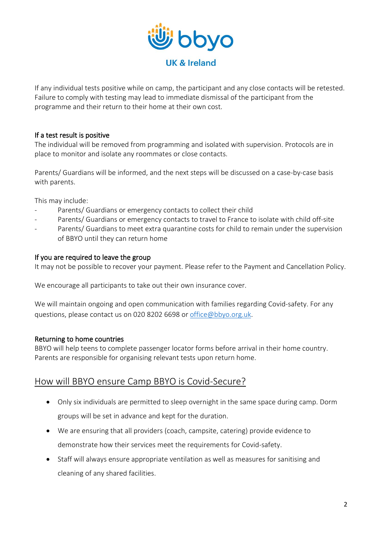

If any individual tests positive while on camp, the participant and any close contacts will be retested. Failure to comply with testing may lead to immediate dismissal of the participant from the programme and their return to their home at their own cost.

### If a test result is positive

The individual will be removed from programming and isolated with supervision. Protocols are in place to monitor and isolate any roommates or close contacts.

Parents/ Guardians will be informed, and the next steps will be discussed on a case-by-case basis with parents.

This may include:

- Parents/ Guardians or emergency contacts to collect their child
- Parents/ Guardians or emergency contacts to travel to France to isolate with child off-site
- Parents/ Guardians to meet extra quarantine costs for child to remain under the supervision of BBYO until they can return home

### If you are required to leave the group

It may not be possible to recover your payment. Please refer to the Payment and Cancellation Policy.

We encourage all participants to take out their own insurance cover.

We will maintain ongoing and open communication with families regarding Covid-safety. For any questions, please contact us on 020 8202 6698 or [office@bbyo.org.uk.](mailto:office@bbyo.org.uk)

### Returning to home countries

BBYO will help teens to complete passenger locator forms before arrival in their home country. Parents are responsible for organising relevant tests upon return home.

## How will BBYO ensure Camp BBYO is Covid-Secure?

- Only six individuals are permitted to sleep overnight in the same space during camp. Dorm groups will be set in advance and kept for the duration.
- We are ensuring that all providers (coach, campsite, catering) provide evidence to demonstrate how their services meet the requirements for Covid-safety.
- Staff will always ensure appropriate ventilation as well as measures for sanitising and cleaning of any shared facilities.